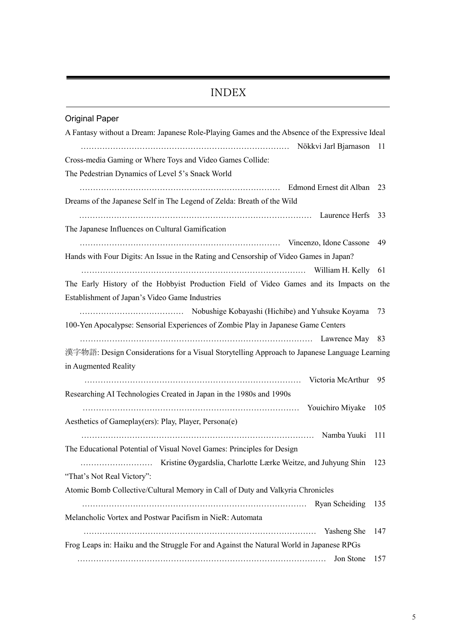## $\it{INDEX}$

| <b>Original Paper</b>                                                                          |       |
|------------------------------------------------------------------------------------------------|-------|
| A Fantasy without a Dream: Japanese Role-Playing Games and the Absence of the Expressive Ideal |       |
| Nökkvi Jarl Bjarnason 11                                                                       |       |
| Cross-media Gaming or Where Toys and Video Games Collide:                                      |       |
| The Pedestrian Dynamics of Level 5's Snack World                                               |       |
|                                                                                                | 23    |
| Dreams of the Japanese Self in The Legend of Zelda: Breath of the Wild                         |       |
|                                                                                                | 33    |
| The Japanese Influences on Cultural Gamification                                               |       |
|                                                                                                | 49    |
| Hands with Four Digits: An Issue in the Rating and Censorship of Video Games in Japan?         |       |
|                                                                                                |       |
| The Early History of the Hobbyist Production Field of Video Games and its Impacts on the       |       |
| Establishment of Japan's Video Game Industries                                                 |       |
|                                                                                                | 73    |
| 100-Yen Apocalypse: Sensorial Experiences of Zombie Play in Japanese Game Centers              |       |
|                                                                                                |       |
| 漢字物語: Design Considerations for a Visual Storytelling Approach to Japanese Language Learning   |       |
|                                                                                                |       |
| in Augmented Reality                                                                           |       |
| Victoria McArthur                                                                              | 95    |
| Researching AI Technologies Created in Japan in the 1980s and 1990s                            |       |
|                                                                                                | 105   |
| Aesthetics of Gameplay(ers): Play, Player, Persona(e)                                          |       |
|                                                                                                |       |
| The Educational Potential of Visual Novel Games: Principles for Design                         |       |
|                                                                                                | - 123 |
| "That's Not Real Victory":                                                                     |       |
| Atomic Bomb Collective/Cultural Memory in Call of Duty and Valkyria Chronicles                 |       |
|                                                                                                | 135   |
| Melancholic Vortex and Postwar Pacifism in NieR: Automata                                      |       |
|                                                                                                | 147   |
| Frog Leaps in: Haiku and the Struggle For and Against the Natural World in Japanese RPGs       |       |
| Jon Stone                                                                                      | 157   |